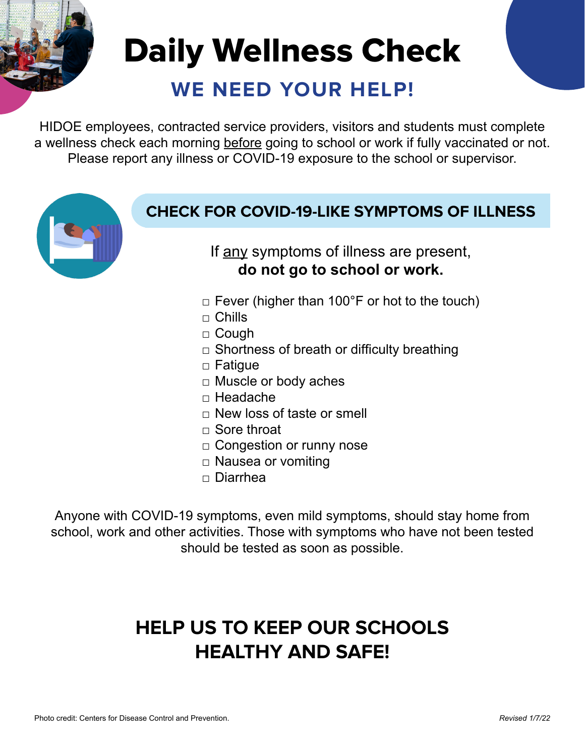# **WE NEED YOUR HELP!** Daily Wellness Check

HIDOE employees, contracted service providers, visitors and students must complete a wellness check each morning before going to school or work if fully vaccinated or not. Please report any illness or COVID-19 exposure to the school or supervisor.

## **CHECK FOR COVID-19-LIKE SYMPTOMS OF ILLNESS**

If any symptoms of illness are present, **do not go to school or work.**

- $\Box$  Fever (higher than 100°F or hot to the touch)
- $\Box$  Chills
- □ Cough
- $\Box$  Shortness of breath or difficulty breathing
- □ Fatigue
- □ Muscle or body aches
- □ Headache
- $\Box$  New loss of taste or smell
- □ Sore throat
- □ Congestion or runny nose
- □ Nausea or vomiting
- □ Diarrhea

Anyone with COVID-19 symptoms, even mild symptoms, should stay home from school, work and other activities. Those with symptoms who have not been tested should be tested as soon as possible.

# **HELP US TO KEEP OUR SCHOOLS HEALTHY AND SAFE!**